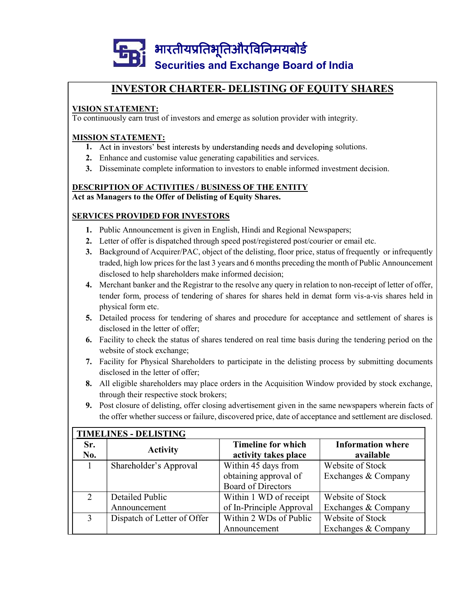

#### VISION STATEMENT:

To continuously earn trust of investors and emerge as solution provider with integrity.

#### MISSION STATEMENT:

- 1. Act in investors' best interests by understanding needs and developing solutions.
- 2. Enhance and customise value generating capabilities and services.
- 3. Disseminate complete information to investors to enable informed investment decision.

### DESCRIPTION OF ACTIVITIES / BUSINESS OF THE ENTITY

#### SERVICES PROVIDED FOR INVESTORS

- 1. Public Announcement is given in English, Hindi and Regional Newspapers;
- 2. Letter of offer is dispatched through speed post/registered post/courier or email etc.
- **Securities and Exchange Board of India**<br> **INVESTOR CHARTER- DELISTING OF EQUITY SHARES**<br> **ION STATEMENT:**<br>
CONDITIONS TO STATE ACCUITY:<br>
SISON STATEMENT:<br>
1. Act in investors' best interests by understanding needs and dev traded, high low prices for the last 3 years and 6 months preceding the month of Public Announcement **INVESTOR CHARTER- DELISTING OF EQUITY SHARES**<br> **STATEMENT:**<br>
muously earn trust of investors and emerge as solution provider with integrity.<br>
MSITATEMENT:<br>
Act in investors' best interests by understanding needs and devel 1. **HORE CHARTER-DELISITING OF EQUITT SHAKES**<br>
10. **MON STATEMENT:**<br>
1. Act in investors hest interests by understanding needs and developing solutions.<br>
2. Enhance and customise value generating equabilities and services. **EXECTMENTATE SET ASSES ASSESS ASSESS ASSESS ASSESS AND MONEMORY CONDIMENTATES AND INDUSIVERT THAT ANCT IN THESTS TO AND INTEXTS.**<br>And in investors' best interests by understanding needs and developing solutions.<br>Enhance a
- tender form, process of tendering of shares for shares held in demat form vis-a-vis shares held in
- 5. Detailed process for tendering of shares and procedure for acceptance and settlement of shares is disclosed in the letter of offer;
- 6. Facility to check the status of shares tendered on real time basis during the tendering period on the website of stock exchange;
- 7. Facility for Physical Shareholders to participate in the delisting process by submitting documents disclosed in the letter of offer;
- 8. All eligible shareholders may place orders in the Acquisition Window provided by stock exchange, through their respective stock brokers;
- 9. Post closure of delisting, offer closing advertisement given in the same newspapers wherein facts of the offer whether success or failure, discovered price, date of acceptance and settlement are disclosed.

|                | Letter of offer is dispatched through speed post/registered post/courier or email etc.                    |                                                    |                                         |  |
|----------------|-----------------------------------------------------------------------------------------------------------|----------------------------------------------------|-----------------------------------------|--|
| 3.             | Background of Acquirer/PAC, object of the delisting, floor price, status of frequently or infrequently    |                                                    |                                         |  |
|                | traded, high low prices for the last 3 years and 6 months preceding the month of Public Announcement      |                                                    |                                         |  |
|                | disclosed to help shareholders make informed decision;                                                    |                                                    |                                         |  |
| 4.             | Merchant banker and the Registrar to the resolve any query in relation to non-receipt of letter of offer, |                                                    |                                         |  |
|                | tender form, process of tendering of shares for shares held in demat form vis-a-vis shares held in        |                                                    |                                         |  |
|                | physical form etc.                                                                                        |                                                    |                                         |  |
|                | 5. Detailed process for tendering of shares and procedure for acceptance and settlement of shares is      |                                                    |                                         |  |
|                | disclosed in the letter of offer;                                                                         |                                                    |                                         |  |
| 6.             | Facility to check the status of shares tendered on real time basis during the tendering period on the     |                                                    |                                         |  |
|                | website of stock exchange;                                                                                |                                                    |                                         |  |
|                | 7. Facility for Physical Shareholders to participate in the delisting process by submitting documents     |                                                    |                                         |  |
|                |                                                                                                           |                                                    |                                         |  |
|                | disclosed in the letter of offer;                                                                         |                                                    |                                         |  |
| 8.             | All eligible shareholders may place orders in the Acquisition Window provided by stock exchange,          |                                                    |                                         |  |
|                | through their respective stock brokers;                                                                   |                                                    |                                         |  |
|                | 9. Post closure of delisting, offer closing advertisement given in the same newspapers wherein facts of   |                                                    |                                         |  |
|                | the offer whether success or failure, discovered price, date of acceptance and settlement are disclosed.  |                                                    |                                         |  |
|                |                                                                                                           |                                                    |                                         |  |
|                | <b>TIMELINES - DELISTING</b>                                                                              |                                                    |                                         |  |
| Sr.            | <b>Activity</b>                                                                                           | <b>Timeline for which</b>                          | <b>Information where</b>                |  |
| No.            |                                                                                                           | activity takes place                               | available                               |  |
| 1              | Shareholder's Approval                                                                                    | Within 45 days from                                | Website of Stock                        |  |
|                |                                                                                                           | obtaining approval of                              | Exchanges & Company                     |  |
| 2              | <b>Detailed Public</b>                                                                                    | <b>Board of Directors</b>                          | Website of Stock                        |  |
|                | Announcement                                                                                              | Within 1 WD of receipt                             |                                         |  |
| $\overline{3}$ | Dispatch of Letter of Offer                                                                               | of In-Principle Approval<br>Within 2 WDs of Public | Exchanges & Company<br>Website of Stock |  |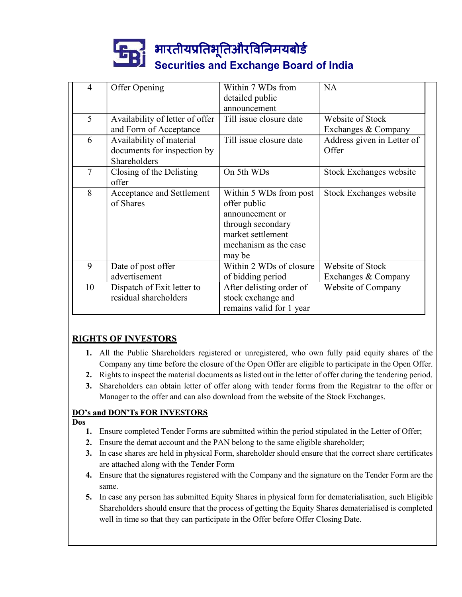

|        |                                                                         | भारतीयप्रतिभूतिऔरविनिमयबोर्ड                                                                                                           |                                         |
|--------|-------------------------------------------------------------------------|----------------------------------------------------------------------------------------------------------------------------------------|-----------------------------------------|
|        |                                                                         | <b>Securities and Exchange Board of India</b><br>Within 7 WDs from                                                                     | NA                                      |
| 4      | Offer Opening                                                           | detailed public<br>announcement                                                                                                        |                                         |
| 5      | Availability of letter of offer<br>and Form of Acceptance               | Till issue closure date                                                                                                                | Website of Stock<br>Exchanges & Company |
| 6      | Availability of material<br>documents for inspection by<br>Shareholders | Till issue closure date                                                                                                                | Address given in Letter of<br>Offer     |
| $\tau$ | Closing of the Delisting<br>offer                                       | On 5th WDs                                                                                                                             | Stock Exchanges website                 |
| 8      | Acceptance and Settlement<br>of Shares                                  | Within 5 WDs from post<br>offer public<br>announcement or<br>through secondary<br>market settlement<br>mechanism as the case<br>may be | Stock Exchanges website                 |
| 9      | Date of post offer<br>advertisement                                     | Within 2 WDs of closure<br>of bidding period                                                                                           | Website of Stock<br>Exchanges & Company |
| 10     | Dispatch of Exit letter to<br>residual shareholders                     | After delisting order of<br>stock exchange and<br>remains valid for 1 year                                                             | Website of Company                      |

#### RIGHTS OF INVESTORS

- 1. All the Public Shareholders registered or unregistered, who own fully paid equity shares of the Company any time before the closure of the Open Offer are eligible to participate in the Open Offer.
- 2. Rights to inspect the material documents as listed out in the letter of offer during the tendering period.
- 3. Shareholders can obtain letter of offer along with tender forms from the Registrar to the offer or Manager to the offer and can also download from the website of the Stock Exchanges.

#### **DO's and DON'Ts FOR INVESTORS**

#### Dos

- 1. Ensure completed Tender Forms are submitted within the period stipulated in the Letter of Offer;
- 2. Ensure the demat account and the PAN belong to the same eligible shareholder;
- 3. In case shares are held in physical Form, shareholder should ensure that the correct share certificates are attached along with the Tender Form
- 4. Ensure that the signatures registered with the Company and the signature on the Tender Form are the same.
- 5. In case any person has submitted Equity Shares in physical form for dematerialisation, such Eligible Shareholders should ensure that the process of getting the Equity Shares dematerialised is completed well in time so that they can participate in the Offer before Offer Closing Date.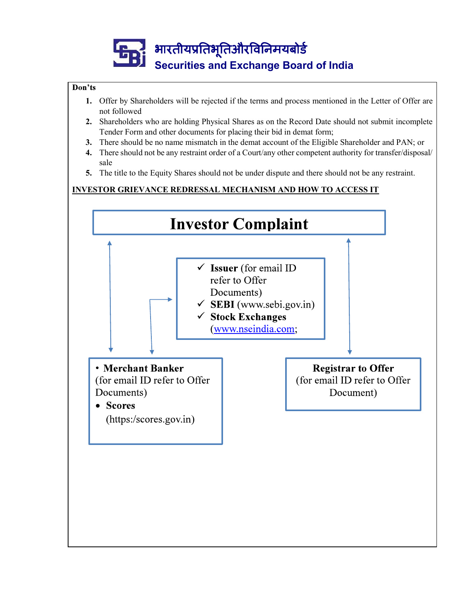

#### Don'ts

- 1. Offer by Shareholders will be rejected if the terms and process mentioned in the Letter of Offer are not followed
- 2. Shareholders who are holding Physical Shares as on the Record Date should not submit incomplete Tender Form and other documents for placing their bid in demat form;
- 3. There should be no name mismatch in the demat account of the Eligible Shareholder and PAN; or
- 4. There should not be any restraint order of a Court/any other competent authority for transfer/disposal/ sale
- 5. The title to the Equity Shares should not be under dispute and there should not be any restraint.

#### INVESTOR GRIEVANCE REDRESSAL MECHANISM AND HOW TO ACCESS IT

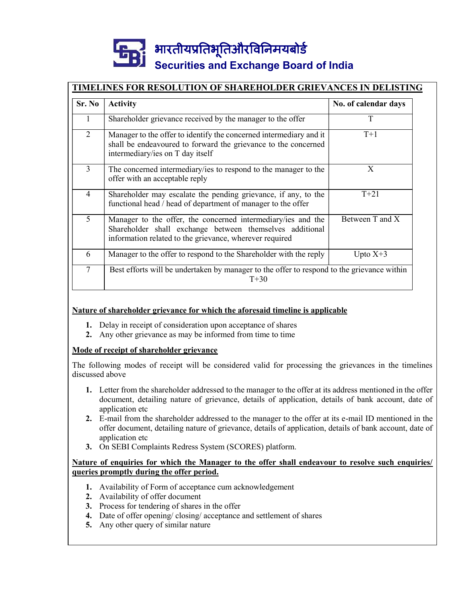# Securities and Exchange Board of India

#### TIMELINES FOR RESOLUTION OF SHAREHOLDER GRIEVANCES IN DELISTING

| भारतीयप्रतिभूतिऔरविनिमयबोर्ड<br><b>Securities and Exchange Board of India</b><br>Sr. No<br><b>Activity</b><br>No. of calendar days<br>T<br>Shareholder grievance received by the manager to the offer<br>1<br>Manager to the offer to identify the concerned intermediary and it<br>$\overline{2}$<br>$T+1$<br>shall be endeavoured to forward the grievance to the concerned<br>intermediary/ies on T day itself<br>$\overline{3}$<br>The concerned intermediary/ies to respond to the manager to the<br>X<br>offer with an acceptable reply<br>Shareholder may escalate the pending grievance, if any, to the<br>$T+21$<br>4<br>functional head / head of department of manager to the offer<br>Between $\overline{T}$ and $\overline{X}$<br>$5^{\circ}$<br>Manager to the offer, the concerned intermediary/ies and the<br>Shareholder shall exchange between themselves additional<br>information related to the grievance, wherever required<br>Manager to the offer to respond to the Shareholder with the reply<br>Upto $X+3$<br>6<br>$\tau$<br>Best efforts will be undertaken by manager to the offer to respond to the grievance within<br>$T+30$ |  |  |
|-------------------------------------------------------------------------------------------------------------------------------------------------------------------------------------------------------------------------------------------------------------------------------------------------------------------------------------------------------------------------------------------------------------------------------------------------------------------------------------------------------------------------------------------------------------------------------------------------------------------------------------------------------------------------------------------------------------------------------------------------------------------------------------------------------------------------------------------------------------------------------------------------------------------------------------------------------------------------------------------------------------------------------------------------------------------------------------------------------------------------------------------------------------|--|--|
| <b>TIMELINES FOR RESOLUTION OF SHAREHOLDER GRIEVANCES IN DELISTING</b>                                                                                                                                                                                                                                                                                                                                                                                                                                                                                                                                                                                                                                                                                                                                                                                                                                                                                                                                                                                                                                                                                      |  |  |
|                                                                                                                                                                                                                                                                                                                                                                                                                                                                                                                                                                                                                                                                                                                                                                                                                                                                                                                                                                                                                                                                                                                                                             |  |  |
|                                                                                                                                                                                                                                                                                                                                                                                                                                                                                                                                                                                                                                                                                                                                                                                                                                                                                                                                                                                                                                                                                                                                                             |  |  |
|                                                                                                                                                                                                                                                                                                                                                                                                                                                                                                                                                                                                                                                                                                                                                                                                                                                                                                                                                                                                                                                                                                                                                             |  |  |
|                                                                                                                                                                                                                                                                                                                                                                                                                                                                                                                                                                                                                                                                                                                                                                                                                                                                                                                                                                                                                                                                                                                                                             |  |  |
|                                                                                                                                                                                                                                                                                                                                                                                                                                                                                                                                                                                                                                                                                                                                                                                                                                                                                                                                                                                                                                                                                                                                                             |  |  |
|                                                                                                                                                                                                                                                                                                                                                                                                                                                                                                                                                                                                                                                                                                                                                                                                                                                                                                                                                                                                                                                                                                                                                             |  |  |
|                                                                                                                                                                                                                                                                                                                                                                                                                                                                                                                                                                                                                                                                                                                                                                                                                                                                                                                                                                                                                                                                                                                                                             |  |  |
|                                                                                                                                                                                                                                                                                                                                                                                                                                                                                                                                                                                                                                                                                                                                                                                                                                                                                                                                                                                                                                                                                                                                                             |  |  |
|                                                                                                                                                                                                                                                                                                                                                                                                                                                                                                                                                                                                                                                                                                                                                                                                                                                                                                                                                                                                                                                                                                                                                             |  |  |

#### Nature of shareholder grievance for which the aforesaid timeline is applicable

- 
- 2. Any other grievance as may be informed from time to time

#### Mode of receipt of shareholder grievance

The following modes of receipt will be considered valid for processing the grievances in the timelines discussed above

- 1. Letter from the shareholder addressed to the manager to the offer at its address mentioned in the offer document, detailing nature of grievance, details of application, details of bank account, date of application etc
- 2. E-mail from the shareholder addressed to the manager to the offer at its e-mail ID mentioned in the offer document, detailing nature of grievance, details of application, details of bank account, date of application etc
- 3. On SEBI Complaints Redress System (SCORES) platform.

#### Nature of enquiries for which the Manager to the offer shall endeavour to resolve such enquiries/ queries promptly during the offer period.

- 1. Availability of Form of acceptance cum acknowledgement
- 2. Availability of offer document
- 3. Process for tendering of shares in the offer
- 4. Date of offer opening/ closing/ acceptance and settlement of shares
- 5. Any other query of similar nature